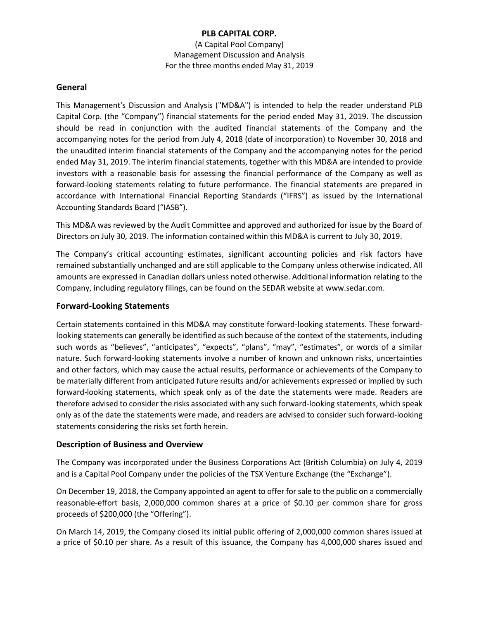(A Capital Pool Company) Management Discussion and Analysis For the three months ended May 31, 2019

### **General**

This Management's Discussion and Analysis ("MD&A") is intended to help the reader understand PLB Capital Corp. (the "Company") financial statements for the period ended May 31, 2019. The discussion should be read in conjunction with the audited financial statements of the Company and the accompanying notes for the period from July 4, 2018 (date of incorporation) to November 30, 2018 and the unaudited interim financial statements of the Company and the accompanying notes for the period ended May 31, 2019. The interim financial statements, together with this MD&A are intended to provide investors with a reasonable basis for assessing the financial performance of the Company as well as forward-looking statements relating to future performance. The financial statements are prepared in accordance with International Financial Reporting Standards ("IFRS") as issued by the International Accounting Standards Board ("IASB").

This MD&A was reviewed by the Audit Committee and approved and authorized for issue by the Board of Directors on July 30, 2019. The information contained within this MD&A is current to July 30, 2019.

The Company's critical accounting estimates, significant accounting policies and risk factors have remained substantially unchanged and are still applicable to the Company unless otherwise indicated. All amounts are expressed in Canadian dollars unless noted otherwise. Additional information relating to the Company, including regulatory filings, can be found on the SEDAR website at www.sedar.com.

# **Forward-Looking Statements**

Certain statements contained in this MD&A may constitute forward-looking statements. These forwardlooking statements can generally be identified as such because of the context of the statements, including such words as "believes", "anticipates", "expects", "plans", "may", "estimates", or words of a similar nature. Such forward-looking statements involve a number of known and unknown risks, uncertainties and other factors, which may cause the actual results, performance or achievements of the Company to be materially different from anticipated future results and/or achievements expressed or implied by such forward-looking statements, which speak only as of the date the statements were made. Readers are therefore advised to consider the risks associated with any such forward-looking statements, which speak only as of the date the statements were made, and readers are advised to consider such forward-looking statements considering the risks set forth herein.

#### **Description of Business and Overview**

The Company was incorporated under the Business Corporations Act (British Columbia) on July 4, 2019 and is a Capital Pool Company under the policies of the TSX Venture Exchange (the "Exchange").

On December 19, 2018, the Company appointed an agent to offer for sale to the public on a commercially reasonable-effort basis, 2,000,000 common shares at a price of \$0.10 per common share for gross proceeds of \$200,000 (the "Offering").

On March 14, 2019, the Company closed its initial public offering of 2,000,000 common shares issued at a price of \$0.10 per share. As a result of this issuance, the Company has 4,000,000 shares issued and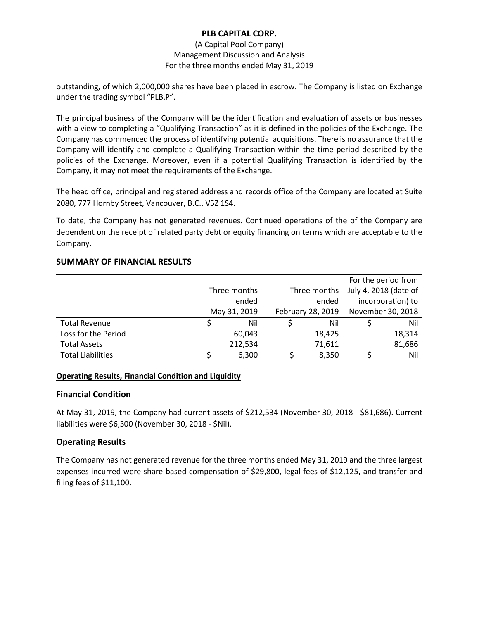### (A Capital Pool Company) Management Discussion and Analysis For the three months ended May 31, 2019

outstanding, of which 2,000,000 shares have been placed in escrow. The Company is listed on Exchange under the trading symbol "PLB.P".

The principal business of the Company will be the identification and evaluation of assets or businesses with a view to completing a "Qualifying Transaction" as it is defined in the policies of the Exchange. The Company has commenced the process of identifying potential acquisitions. There is no assurance that the Company will identify and complete a Qualifying Transaction within the time period described by the policies of the Exchange. Moreover, even if a potential Qualifying Transaction is identified by the Company, it may not meet the requirements of the Exchange.

The head office, principal and registered address and records office of the Company are located at Suite 2080, 777 Hornby Street, Vancouver, B.C., V5Z 1S4.

To date, the Company has not generated revenues. Continued operations of the of the Company are dependent on the receipt of related party debt or equity financing on terms which are acceptable to the Company.

# **SUMMARY OF FINANCIAL RESULTS**

|                          |              |         |                   |        |                       | For the period from |
|--------------------------|--------------|---------|-------------------|--------|-----------------------|---------------------|
|                          | Three months |         | Three months      |        | July 4, 2018 (date of |                     |
|                          | ended        |         | ended             |        | incorporation) to     |                     |
|                          | May 31, 2019 |         | February 28, 2019 |        | November 30, 2018     |                     |
| <b>Total Revenue</b>     |              | Nil     |                   | Nil    |                       | Nil                 |
| Loss for the Period      |              | 60,043  |                   | 18,425 |                       | 18,314              |
| <b>Total Assets</b>      |              | 212,534 |                   | 71,611 |                       | 81,686              |
| <b>Total Liabilities</b> |              | 6,300   |                   | 8,350  |                       | Nil                 |

# **Operating Results, Financial Condition and Liquidity**

# **Financial Condition**

At May 31, 2019, the Company had current assets of \$212,534 (November 30, 2018 - \$81,686). Current liabilities were \$6,300 (November 30, 2018 - \$Nil).

# **Operating Results**

The Company has not generated revenue for the three months ended May 31, 2019 and the three largest expenses incurred were share-based compensation of \$29,800, legal fees of \$12,125, and transfer and filing fees of \$11,100.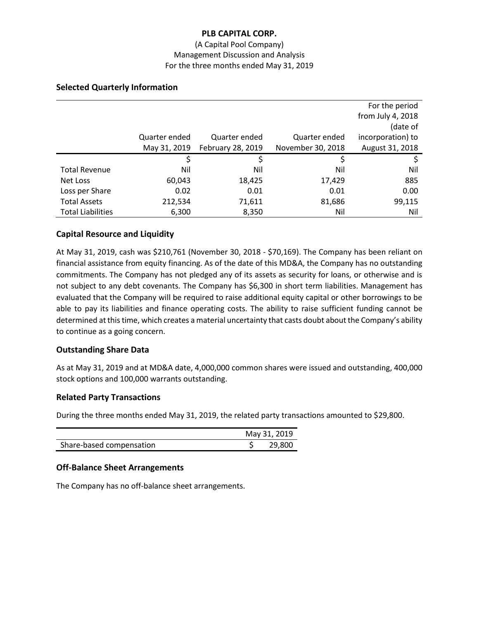### (A Capital Pool Company) Management Discussion and Analysis For the three months ended May 31, 2019

|                          |               |                   |                   | For the period    |
|--------------------------|---------------|-------------------|-------------------|-------------------|
|                          |               |                   |                   | from July 4, 2018 |
|                          |               |                   |                   | (date of          |
|                          | Quarter ended | Quarter ended     | Quarter ended     | incorporation) to |
|                          | May 31, 2019  | February 28, 2019 | November 30, 2018 | August 31, 2018   |
|                          | \$            | Ś                 | S                 | S                 |
| <b>Total Revenue</b>     | Nil           | Nil               | Nil               | Nil               |
| Net Loss                 | 60,043        | 18,425            | 17,429            | 885               |
| Loss per Share           | 0.02          | 0.01              | 0.01              | 0.00              |
| <b>Total Assets</b>      | 212,534       | 71,611            | 81,686            | 99,115            |
| <b>Total Liabilities</b> | 6,300         | 8,350             | Nil               | Nil               |

# **Selected Quarterly Information**

# **Capital Resource and Liquidity**

At May 31, 2019, cash was \$210,761 (November 30, 2018 - \$70,169). The Company has been reliant on financial assistance from equity financing. As of the date of this MD&A, the Company has no outstanding commitments. The Company has not pledged any of its assets as security for loans, or otherwise and is not subject to any debt covenants. The Company has \$6,300 in short term liabilities. Management has evaluated that the Company will be required to raise additional equity capital or other borrowings to be able to pay its liabilities and finance operating costs. The ability to raise sufficient funding cannot be determined at this time, which creates a material uncertainty that casts doubt about the Company's ability to continue as a going concern.

#### **Outstanding Share Data**

As at May 31, 2019 and at MD&A date, 4,000,000 common shares were issued and outstanding, 400,000 stock options and 100,000 warrants outstanding.

# **Related Party Transactions**

During the three months ended May 31, 2019, the related party transactions amounted to \$29,800.

|                          | May 31, 2019 |        |
|--------------------------|--------------|--------|
| Share-based compensation |              | 29,800 |

#### **Off-Balance Sheet Arrangements**

The Company has no off-balance sheet arrangements.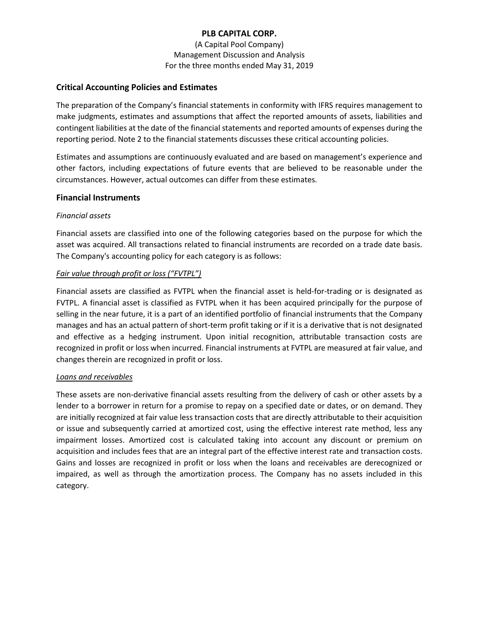(A Capital Pool Company) Management Discussion and Analysis For the three months ended May 31, 2019

# **Critical Accounting Policies and Estimates**

The preparation of the Company's financial statements in conformity with IFRS requires management to make judgments, estimates and assumptions that affect the reported amounts of assets, liabilities and contingent liabilities at the date of the financial statements and reported amounts of expenses during the reporting period. Note 2 to the financial statements discusses these critical accounting policies.

Estimates and assumptions are continuously evaluated and are based on management's experience and other factors, including expectations of future events that are believed to be reasonable under the circumstances. However, actual outcomes can differ from these estimates.

#### **Financial Instruments**

#### *Financial assets*

Financial assets are classified into one of the following categories based on the purpose for which the asset was acquired. All transactions related to financial instruments are recorded on a trade date basis. The Company's accounting policy for each category is as follows:

### *Fair value through profit or loss ("FVTPL")*

Financial assets are classified as FVTPL when the financial asset is held-for-trading or is designated as FVTPL. A financial asset is classified as FVTPL when it has been acquired principally for the purpose of selling in the near future, it is a part of an identified portfolio of financial instruments that the Company manages and has an actual pattern of short-term profit taking or if it is a derivative that is not designated and effective as a hedging instrument. Upon initial recognition, attributable transaction costs are recognized in profit or loss when incurred. Financial instruments at FVTPL are measured at fair value, and changes therein are recognized in profit or loss.

#### *Loans and receivables*

These assets are non-derivative financial assets resulting from the delivery of cash or other assets by a lender to a borrower in return for a promise to repay on a specified date or dates, or on demand. They are initially recognized at fair value less transaction costs that are directly attributable to their acquisition or issue and subsequently carried at amortized cost, using the effective interest rate method, less any impairment losses. Amortized cost is calculated taking into account any discount or premium on acquisition and includes fees that are an integral part of the effective interest rate and transaction costs. Gains and losses are recognized in profit or loss when the loans and receivables are derecognized or impaired, as well as through the amortization process. The Company has no assets included in this category.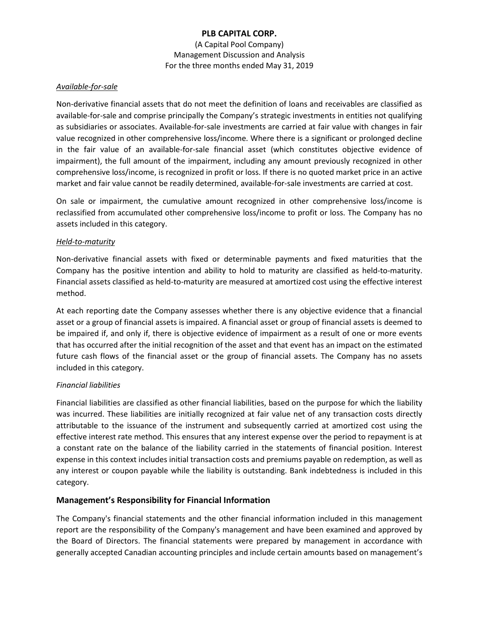(A Capital Pool Company) Management Discussion and Analysis For the three months ended May 31, 2019

### *Available-for-sale*

Non-derivative financial assets that do not meet the definition of loans and receivables are classified as available-for-sale and comprise principally the Company's strategic investments in entities not qualifying as subsidiaries or associates. Available-for-sale investments are carried at fair value with changes in fair value recognized in other comprehensive loss/income. Where there is a significant or prolonged decline in the fair value of an available-for-sale financial asset (which constitutes objective evidence of impairment), the full amount of the impairment, including any amount previously recognized in other comprehensive loss/income, is recognized in profit or loss. If there is no quoted market price in an active market and fair value cannot be readily determined, available-for-sale investments are carried at cost.

On sale or impairment, the cumulative amount recognized in other comprehensive loss/income is reclassified from accumulated other comprehensive loss/income to profit or loss. The Company has no assets included in this category.

### *Held-to-maturity*

Non-derivative financial assets with fixed or determinable payments and fixed maturities that the Company has the positive intention and ability to hold to maturity are classified as held-to-maturity. Financial assets classified as held-to-maturity are measured at amortized cost using the effective interest method.

At each reporting date the Company assesses whether there is any objective evidence that a financial asset or a group of financial assets is impaired. A financial asset or group of financial assets is deemed to be impaired if, and only if, there is objective evidence of impairment as a result of one or more events that has occurred after the initial recognition of the asset and that event has an impact on the estimated future cash flows of the financial asset or the group of financial assets. The Company has no assets included in this category.

# *Financial liabilities*

Financial liabilities are classified as other financial liabilities, based on the purpose for which the liability was incurred. These liabilities are initially recognized at fair value net of any transaction costs directly attributable to the issuance of the instrument and subsequently carried at amortized cost using the effective interest rate method. This ensures that any interest expense over the period to repayment is at a constant rate on the balance of the liability carried in the statements of financial position. Interest expense in this context includes initial transaction costs and premiums payable on redemption, as well as any interest or coupon payable while the liability is outstanding. Bank indebtedness is included in this category.

# **Management's Responsibility for Financial Information**

The Company's financial statements and the other financial information included in this management report are the responsibility of the Company's management and have been examined and approved by the Board of Directors. The financial statements were prepared by management in accordance with generally accepted Canadian accounting principles and include certain amounts based on management's